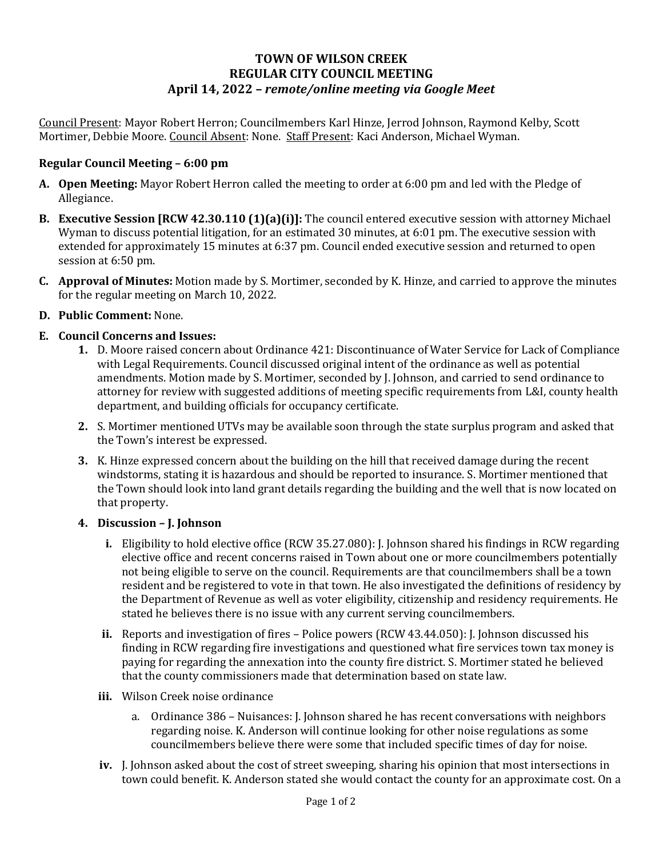# **TOWN OF WILSON CREEK REGULAR CITY COUNCIL MEETING April 14, 2022 –** *remote/online meeting via Google Meet*

Council Present: Mayor Robert Herron; Councilmembers Karl Hinze, Jerrod Johnson, Raymond Kelby, Scott Mortimer, Debbie Moore. Council Absent: None. Staff Present: Kaci Anderson, Michael Wyman.

## **Regular Council Meeting – 6:00 pm**

- **A. Open Meeting:** Mayor Robert Herron called the meeting to order at 6:00 pm and led with the Pledge of Allegiance.
- **B. Executive Session [RCW 42.30.110 (1)(a)(i)]:** The council entered executive session with attorney Michael Wyman to discuss potential litigation, for an estimated 30 minutes, at 6:01 pm. The executive session with extended for approximately 15 minutes at 6:37 pm. Council ended executive session and returned to open session at 6:50 pm.
- **C. Approval of Minutes:** Motion made by S. Mortimer, seconded by K. Hinze, and carried to approve the minutes for the regular meeting on March 10, 2022.
- **D. Public Comment:** None.

### **E. Council Concerns and Issues:**

- **1.** D. Moore raised concern about Ordinance 421: Discontinuance of Water Service for Lack of Compliance with Legal Requirements. Council discussed original intent of the ordinance as well as potential amendments. Motion made by S. Mortimer, seconded by J. Johnson, and carried to send ordinance to attorney for review with suggested additions of meeting specific requirements from L&I, county health department, and building officials for occupancy certificate.
- **2.** S. Mortimer mentioned UTVs may be available soon through the state surplus program and asked that the Town's interest be expressed.
- **3.** K. Hinze expressed concern about the building on the hill that received damage during the recent windstorms, stating it is hazardous and should be reported to insurance. S. Mortimer mentioned that the Town should look into land grant details regarding the building and the well that is now located on that property.

#### **4. Discussion – J. Johnson**

- **i.** Eligibility to hold elective office (RCW 35.27.080): J. Johnson shared his findings in RCW regarding elective office and recent concerns raised in Town about one or more councilmembers potentially not being eligible to serve on the council. Requirements are that councilmembers shall be a town resident and be registered to vote in that town. He also investigated the definitions of residency by the Department of Revenue as well as voter eligibility, citizenship and residency requirements. He stated he believes there is no issue with any current serving councilmembers.
- **ii.** Reports and investigation of fires Police powers (RCW 43.44.050): J. Johnson discussed his finding in RCW regarding fire investigations and questioned what fire services town tax money is paying for regarding the annexation into the county fire district. S. Mortimer stated he believed that the county commissioners made that determination based on state law.
- **iii.** Wilson Creek noise ordinance
	- a. Ordinance 386 Nuisances: J. Johnson shared he has recent conversations with neighbors regarding noise. K. Anderson will continue looking for other noise regulations as some councilmembers believe there were some that included specific times of day for noise.
- **iv.** J. Johnson asked about the cost of street sweeping, sharing his opinion that most intersections in town could benefit. K. Anderson stated she would contact the county for an approximate cost. On a